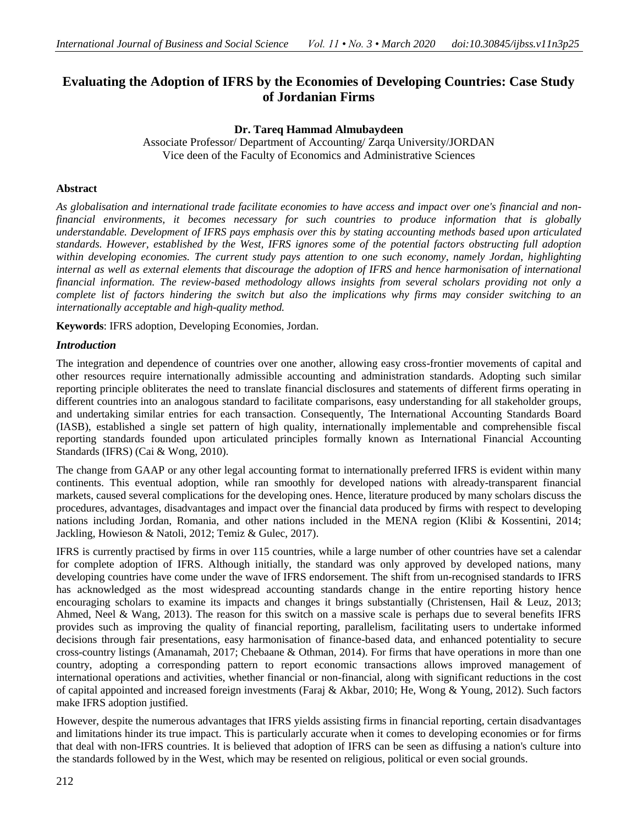# **Evaluating the Adoption of IFRS by the Economies of Developing Countries: Case Study of Jordanian Firms**

## **Dr. Tareq Hammad Almubaydeen**

Associate Professor/ Department of Accounting/ Zarqa University/JORDAN Vice deen of the Faculty of Economics and Administrative Sciences

## **Abstract**

*As globalisation and international trade facilitate economies to have access and impact over one's financial and nonfinancial environments, it becomes necessary for such countries to produce information that is globally understandable. Development of IFRS pays emphasis over this by stating accounting methods based upon articulated standards. However, established by the West, IFRS ignores some of the potential factors obstructing full adoption within developing economies. The current study pays attention to one such economy, namely Jordan, highlighting internal as well as external elements that discourage the adoption of IFRS and hence harmonisation of international financial information. The review-based methodology allows insights from several scholars providing not only a complete list of factors hindering the switch but also the implications why firms may consider switching to an internationally acceptable and high-quality method.* 

**Keywords**: IFRS adoption, Developing Economies, Jordan.

### *Introduction*

The integration and dependence of countries over one another, allowing easy cross-frontier movements of capital and other resources require internationally admissible accounting and administration standards. Adopting such similar reporting principle obliterates the need to translate financial disclosures and statements of different firms operating in different countries into an analogous standard to facilitate comparisons, easy understanding for all stakeholder groups, and undertaking similar entries for each transaction. Consequently, The International Accounting Standards Board (IASB), established a single set pattern of high quality, internationally implementable and comprehensible fiscal reporting standards founded upon articulated principles formally known as International Financial Accounting Standards (IFRS) (Cai & Wong, 2010).

The change from GAAP or any other legal accounting format to internationally preferred IFRS is evident within many continents. This eventual adoption, while ran smoothly for developed nations with already-transparent financial markets, caused several complications for the developing ones. Hence, literature produced by many scholars discuss the procedures, advantages, disadvantages and impact over the financial data produced by firms with respect to developing nations including Jordan, Romania, and other nations included in the MENA region (Klibi & Kossentini, 2014; Jackling, Howieson & Natoli, 2012; Temiz & Gulec, 2017).

IFRS is currently practised by firms in over 115 countries, while a large number of other countries have set a calendar for complete adoption of IFRS. Although initially, the standard was only approved by developed nations, many developing countries have come under the wave of IFRS endorsement. The shift from un-recognised standards to IFRS has acknowledged as the most widespread accounting standards change in the entire reporting history hence encouraging scholars to examine its impacts and changes it brings substantially (Christensen, Hail & Leuz, 2013; Ahmed, Neel & Wang, 2013). The reason for this switch on a massive scale is perhaps due to several benefits IFRS provides such as improving the quality of financial reporting, parallelism, facilitating users to undertake informed decisions through fair presentations, easy harmonisation of finance-based data, and enhanced potentiality to secure cross-country listings (Amanamah, 2017; Chebaane & Othman, 2014). For firms that have operations in more than one country, adopting a corresponding pattern to report economic transactions allows improved management of international operations and activities, whether financial or non-financial, along with significant reductions in the cost of capital appointed and increased foreign investments (Faraj & Akbar, 2010; He, Wong & Young, 2012). Such factors make IFRS adoption justified.

However, despite the numerous advantages that IFRS yields assisting firms in financial reporting, certain disadvantages and limitations hinder its true impact. This is particularly accurate when it comes to developing economies or for firms that deal with non-IFRS countries. It is believed that adoption of IFRS can be seen as diffusing a nation's culture into the standards followed by in the West, which may be resented on religious, political or even social grounds.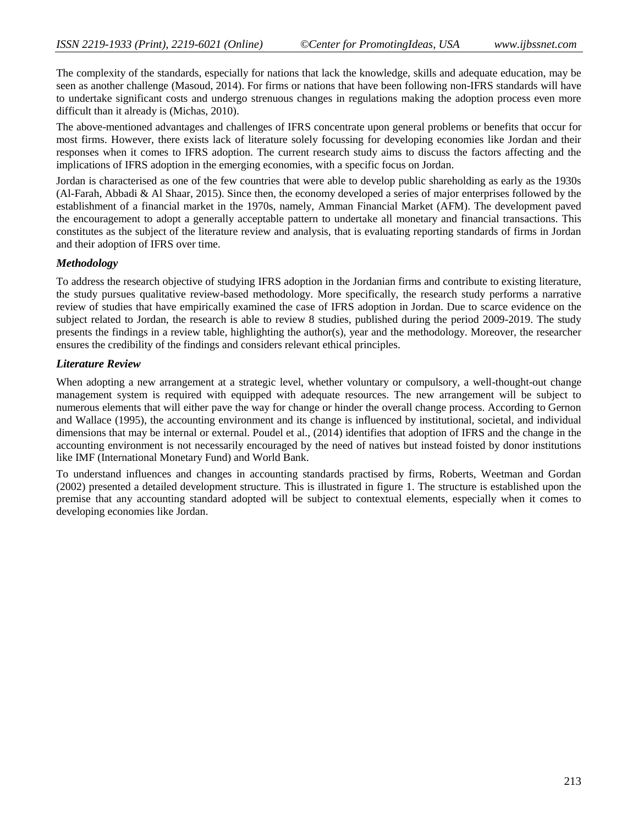The complexity of the standards, especially for nations that lack the knowledge, skills and adequate education, may be seen as another challenge (Masoud, 2014). For firms or nations that have been following non-IFRS standards will have to undertake significant costs and undergo strenuous changes in regulations making the adoption process even more difficult than it already is (Michas, 2010).

The above-mentioned advantages and challenges of IFRS concentrate upon general problems or benefits that occur for most firms. However, there exists lack of literature solely focussing for developing economies like Jordan and their responses when it comes to IFRS adoption. The current research study aims to discuss the factors affecting and the implications of IFRS adoption in the emerging economies, with a specific focus on Jordan.

Jordan is characterised as one of the few countries that were able to develop public shareholding as early as the 1930s (Al-Farah, Abbadi & Al Shaar, 2015). Since then, the economy developed a series of major enterprises followed by the establishment of a financial market in the 1970s, namely, Amman Financial Market (AFM). The development paved the encouragement to adopt a generally acceptable pattern to undertake all monetary and financial transactions. This constitutes as the subject of the literature review and analysis, that is evaluating reporting standards of firms in Jordan and their adoption of IFRS over time.

### *Methodology*

To address the research objective of studying IFRS adoption in the Jordanian firms and contribute to existing literature, the study pursues qualitative review-based methodology. More specifically, the research study performs a narrative review of studies that have empirically examined the case of IFRS adoption in Jordan. Due to scarce evidence on the subject related to Jordan, the research is able to review 8 studies, published during the period 2009-2019. The study presents the findings in a review table, highlighting the author(s), year and the methodology. Moreover, the researcher ensures the credibility of the findings and considers relevant ethical principles.

#### *Literature Review*

When adopting a new arrangement at a strategic level, whether voluntary or compulsory, a well-thought-out change management system is required with equipped with adequate resources. The new arrangement will be subject to numerous elements that will either pave the way for change or hinder the overall change process. According to Gernon and Wallace (1995), the accounting environment and its change is influenced by institutional, societal, and individual dimensions that may be internal or external. Poudel et al., (2014) identifies that adoption of IFRS and the change in the accounting environment is not necessarily encouraged by the need of natives but instead foisted by donor institutions like IMF (International Monetary Fund) and World Bank.

To understand influences and changes in accounting standards practised by firms, Roberts, Weetman and Gordan (2002) presented a detailed development structure. This is illustrated in figure 1. The structure is established upon the premise that any accounting standard adopted will be subject to contextual elements, especially when it comes to developing economies like Jordan.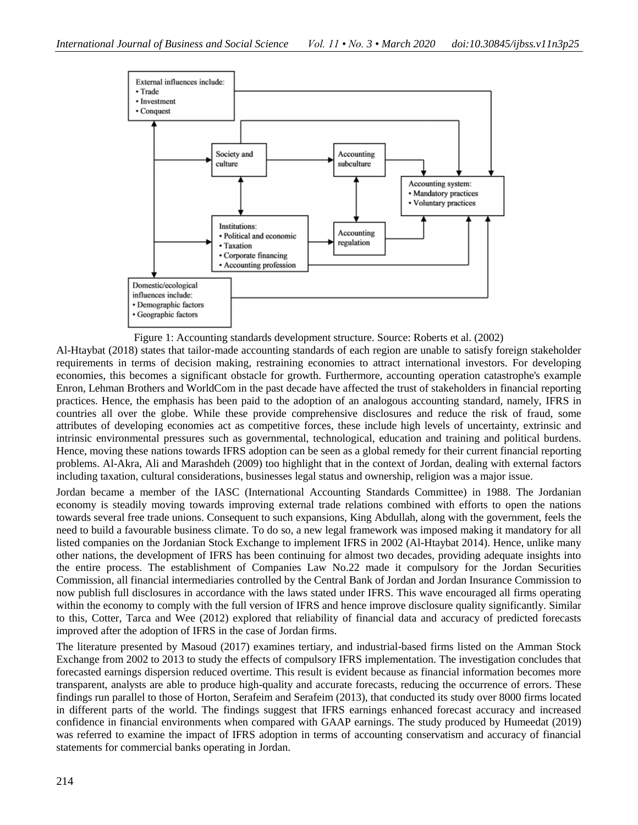

Figure 1: Accounting standards development structure. Source: Roberts et al. (2002) Al-Htaybat (2018) states that tailor-made accounting standards of each region are unable to satisfy foreign stakeholder requirements in terms of decision making, restraining economies to attract international investors. For developing economies, this becomes a significant obstacle for growth. Furthermore, accounting operation catastrophe's example Enron, Lehman Brothers and WorldCom in the past decade have affected the trust of stakeholders in financial reporting practices. Hence, the emphasis has been paid to the adoption of an analogous accounting standard, namely, IFRS in countries all over the globe. While these provide comprehensive disclosures and reduce the risk of fraud, some

attributes of developing economies act as competitive forces, these include high levels of uncertainty, extrinsic and intrinsic environmental pressures such as governmental, technological, education and training and political burdens. Hence, moving these nations towards IFRS adoption can be seen as a global remedy for their current financial reporting problems. Al-Akra, Ali and Marashdeh (2009) too highlight that in the context of Jordan, dealing with external factors including taxation, cultural considerations, businesses legal status and ownership, religion was a major issue.

Jordan became a member of the IASC (International Accounting Standards Committee) in 1988. The Jordanian economy is steadily moving towards improving external trade relations combined with efforts to open the nations towards several free trade unions. Consequent to such expansions, King Abdullah, along with the government, feels the need to build a favourable business climate. To do so, a new legal framework was imposed making it mandatory for all listed companies on the Jordanian Stock Exchange to implement IFRS in 2002 (Al-Htaybat 2014). Hence, unlike many other nations, the development of IFRS has been continuing for almost two decades, providing adequate insights into the entire process. The establishment of Companies Law No.22 made it compulsory for the Jordan Securities Commission, all financial intermediaries controlled by the Central Bank of Jordan and Jordan Insurance Commission to now publish full disclosures in accordance with the laws stated under IFRS. This wave encouraged all firms operating within the economy to comply with the full version of IFRS and hence improve disclosure quality significantly. Similar to this, Cotter, Tarca and Wee (2012) explored that reliability of financial data and accuracy of predicted forecasts improved after the adoption of IFRS in the case of Jordan firms.

The literature presented by Masoud (2017) examines tertiary, and industrial-based firms listed on the Amman Stock Exchange from 2002 to 2013 to study the effects of compulsory IFRS implementation. The investigation concludes that forecasted earnings dispersion reduced overtime. This result is evident because as financial information becomes more transparent, analysts are able to produce high-quality and accurate forecasts, reducing the occurrence of errors. These findings run parallel to those of Horton, Serafeim and Serafeim (2013), that conducted its study over 8000 firms located in different parts of the world. The findings suggest that IFRS earnings enhanced forecast accuracy and increased confidence in financial environments when compared with GAAP earnings. The study produced by Humeedat (2019) was referred to examine the impact of IFRS adoption in terms of accounting conservatism and accuracy of financial statements for commercial banks operating in Jordan.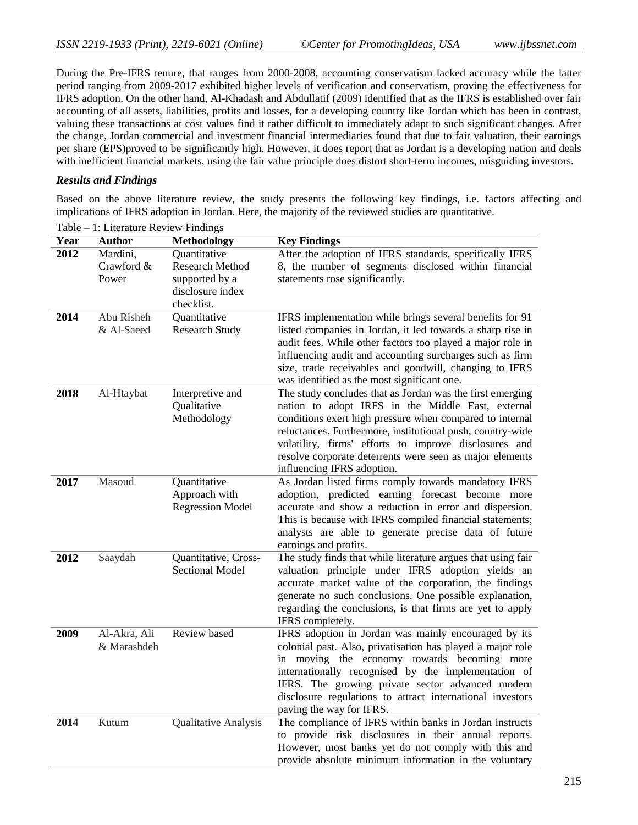During the Pre-IFRS tenure, that ranges from 2000-2008, accounting conservatism lacked accuracy while the latter period ranging from 2009-2017 exhibited higher levels of verification and conservatism, proving the effectiveness for IFRS adoption. On the other hand, Al-Khadash and Abdullatif (2009) identified that as the IFRS is established over fair accounting of all assets, liabilities, profits and losses, for a developing country like Jordan which has been in contrast, valuing these transactions at cost values find it rather difficult to immediately adapt to such significant changes. After the change, Jordan commercial and investment financial intermediaries found that due to fair valuation, their earnings per share (EPS)proved to be significantly high. However, it does report that as Jordan is a developing nation and deals with inefficient financial markets, using the fair value principle does distort short-term incomes, misguiding investors.

#### *Results and Findings*

Based on the above literature review, the study presents the following key findings, i.e. factors affecting and implications of IFRS adoption in Jordan. Here, the majority of the reviewed studies are quantitative.

| Year | <b>Author</b> | <b>Methodology</b>             | <b>Key Findings</b>                                                                                                    |
|------|---------------|--------------------------------|------------------------------------------------------------------------------------------------------------------------|
| 2012 | Mardini,      | Quantitative                   | After the adoption of IFRS standards, specifically IFRS                                                                |
|      | Crawford &    | <b>Research Method</b>         | 8, the number of segments disclosed within financial                                                                   |
|      | Power         | supported by a                 | statements rose significantly.                                                                                         |
|      |               | disclosure index<br>checklist. |                                                                                                                        |
| 2014 | Abu Risheh    | Quantitative                   | IFRS implementation while brings several benefits for 91                                                               |
|      | & Al-Saeed    | <b>Research Study</b>          | listed companies in Jordan, it led towards a sharp rise in                                                             |
|      |               |                                | audit fees. While other factors too played a major role in<br>influencing audit and accounting surcharges such as firm |
|      |               |                                | size, trade receivables and goodwill, changing to IFRS                                                                 |
|      |               |                                | was identified as the most significant one.                                                                            |
| 2018 | Al-Htaybat    | Interpretive and               | The study concludes that as Jordan was the first emerging                                                              |
|      |               | Qualitative                    | nation to adopt IRFS in the Middle East, external                                                                      |
|      |               | Methodology                    | conditions exert high pressure when compared to internal                                                               |
|      |               |                                | reluctances. Furthermore, institutional push, country-wide                                                             |
|      |               |                                | volatility, firms' efforts to improve disclosures and                                                                  |
|      |               |                                | resolve corporate deterrents were seen as major elements<br>influencing IFRS adoption.                                 |
| 2017 | Masoud        | Quantitative                   | As Jordan listed firms comply towards mandatory IFRS                                                                   |
|      |               | Approach with                  | adoption, predicted earning forecast become more                                                                       |
|      |               | <b>Regression Model</b>        | accurate and show a reduction in error and dispersion.                                                                 |
|      |               |                                | This is because with IFRS compiled financial statements;                                                               |
|      |               |                                | analysts are able to generate precise data of future                                                                   |
| 2012 | Saaydah       | Quantitative, Cross-           | earnings and profits.                                                                                                  |
|      |               | <b>Sectional Model</b>         | The study finds that while literature argues that using fair<br>valuation principle under IFRS adoption yields an      |
|      |               |                                | accurate market value of the corporation, the findings                                                                 |
|      |               |                                | generate no such conclusions. One possible explanation,                                                                |
|      |               |                                | regarding the conclusions, is that firms are yet to apply                                                              |
|      |               |                                | IFRS completely.                                                                                                       |
| 2009 | Al-Akra, Ali  | Review based                   | IFRS adoption in Jordan was mainly encouraged by its                                                                   |
|      | & Marashdeh   |                                | colonial past. Also, privatisation has played a major role                                                             |
|      |               |                                | in moving the economy towards becoming more<br>internationally recognised by the implementation of                     |
|      |               |                                | IFRS. The growing private sector advanced modern                                                                       |
|      |               |                                | disclosure regulations to attract international investors                                                              |
|      |               |                                | paving the way for IFRS.                                                                                               |
| 2014 | Kutum         | Qualitative Analysis           | The compliance of IFRS within banks in Jordan instructs                                                                |
|      |               |                                | to provide risk disclosures in their annual reports.                                                                   |
|      |               |                                | However, most banks yet do not comply with this and                                                                    |
|      |               |                                | provide absolute minimum information in the voluntary                                                                  |

Table – 1: Literature Review Findings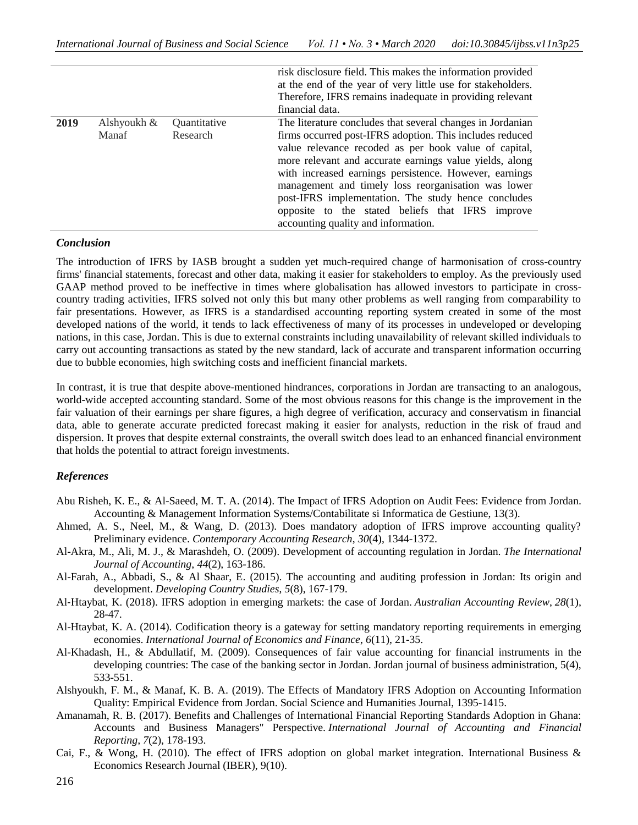|      |                      |                          | risk disclosure field. This makes the information provided<br>at the end of the year of very little use for stakeholders.<br>Therefore, IFRS remains inadequate in providing relevant<br>financial data.                                                                                                                                                                                                                                                                                                      |
|------|----------------------|--------------------------|---------------------------------------------------------------------------------------------------------------------------------------------------------------------------------------------------------------------------------------------------------------------------------------------------------------------------------------------------------------------------------------------------------------------------------------------------------------------------------------------------------------|
| 2019 | Alshyoukh &<br>Manaf | Quantitative<br>Research | The literature concludes that several changes in Jordanian<br>firms occurred post-IFRS adoption. This includes reduced<br>value relevance recoded as per book value of capital,<br>more relevant and accurate earnings value yields, along<br>with increased earnings persistence. However, earnings<br>management and timely loss reorganisation was lower<br>post-IFRS implementation. The study hence concludes<br>opposite to the stated beliefs that IFRS improve<br>accounting quality and information. |

#### *Conclusion*

The introduction of IFRS by IASB brought a sudden yet much-required change of harmonisation of cross-country firms' financial statements, forecast and other data, making it easier for stakeholders to employ. As the previously used GAAP method proved to be ineffective in times where globalisation has allowed investors to participate in crosscountry trading activities, IFRS solved not only this but many other problems as well ranging from comparability to fair presentations. However, as IFRS is a standardised accounting reporting system created in some of the most developed nations of the world, it tends to lack effectiveness of many of its processes in undeveloped or developing nations, in this case, Jordan. This is due to external constraints including unavailability of relevant skilled individuals to carry out accounting transactions as stated by the new standard, lack of accurate and transparent information occurring due to bubble economies, high switching costs and inefficient financial markets.

In contrast, it is true that despite above-mentioned hindrances, corporations in Jordan are transacting to an analogous, world-wide accepted accounting standard. Some of the most obvious reasons for this change is the improvement in the fair valuation of their earnings per share figures, a high degree of verification, accuracy and conservatism in financial data, able to generate accurate predicted forecast making it easier for analysts, reduction in the risk of fraud and dispersion. It proves that despite external constraints, the overall switch does lead to an enhanced financial environment that holds the potential to attract foreign investments.

### *References*

- Abu Risheh, K. E., & Al-Saeed, M. T. A. (2014). The Impact of IFRS Adoption on Audit Fees: Evidence from Jordan. Accounting & Management Information Systems/Contabilitate si Informatica de Gestiune, 13(3).
- Ahmed, A. S., Neel, M., & Wang, D. (2013). Does mandatory adoption of IFRS improve accounting quality? Preliminary evidence. *Contemporary Accounting Research*, *30*(4), 1344-1372.
- Al-Akra, M., Ali, M. J., & Marashdeh, O. (2009). Development of accounting regulation in Jordan. *The International Journal of Accounting*, *44*(2), 163-186.
- Al-Farah, A., Abbadi, S., & Al Shaar, E. (2015). The accounting and auditing profession in Jordan: Its origin and development. *Developing Country Studies*, *5*(8), 167-179.
- Al‐Htaybat, K. (2018). IFRS adoption in emerging markets: the case of Jordan. *Australian Accounting Review*, *28*(1), 28-47.
- Al-Htaybat, K. A. (2014). Codification theory is a gateway for setting mandatory reporting requirements in emerging economies. *International Journal of Economics and Finance*, *6*(11), 21-35.
- Al-Khadash, H., & Abdullatif, M. (2009). Consequences of fair value accounting for financial instruments in the developing countries: The case of the banking sector in Jordan. Jordan journal of business administration, 5(4), 533-551.
- Alshyoukh, F. M., & Manaf, K. B. A. (2019). The Effects of Mandatory IFRS Adoption on Accounting Information Quality: Empirical Evidence from Jordan. Social Science and Humanities Journal, 1395-1415.
- Amanamah, R. B. (2017). Benefits and Challenges of International Financial Reporting Standards Adoption in Ghana: Accounts and Business Managers" Perspective. *International Journal of Accounting and Financial Reporting*, *7*(2), 178-193.
- Cai, F., & Wong, H. (2010). The effect of IFRS adoption on global market integration. International Business & Economics Research Journal (IBER), 9(10).